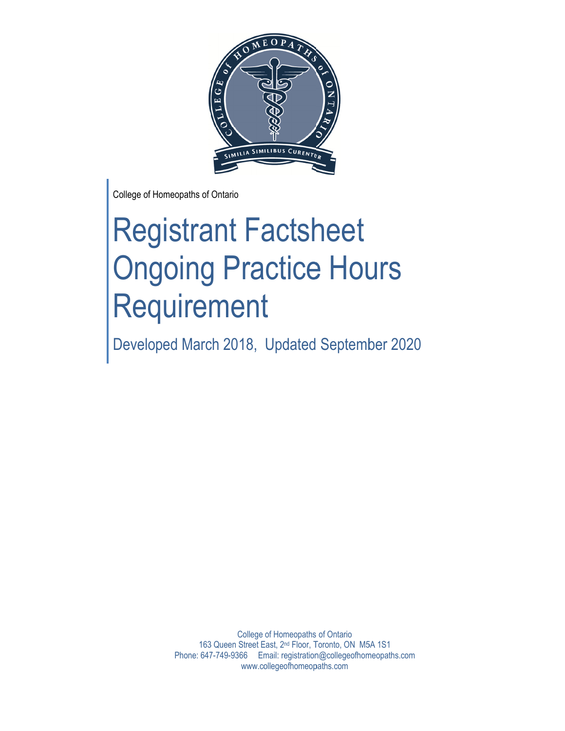

College of H omeopaths of Ontario

# Registrant Factsheet **Ongoing Practice Hours** Requirement Requirement<br>
Developed March 2018, Updated September 2020

163 Queen Street East, 2<sup>nd</sup> Floor, Toronto, ON M5A 1S1 Phone: 647-749-9366 Email: registration@collegeofhomeopaths.com College of Homeopaths of Ontario www.collegeofhomeopaths.com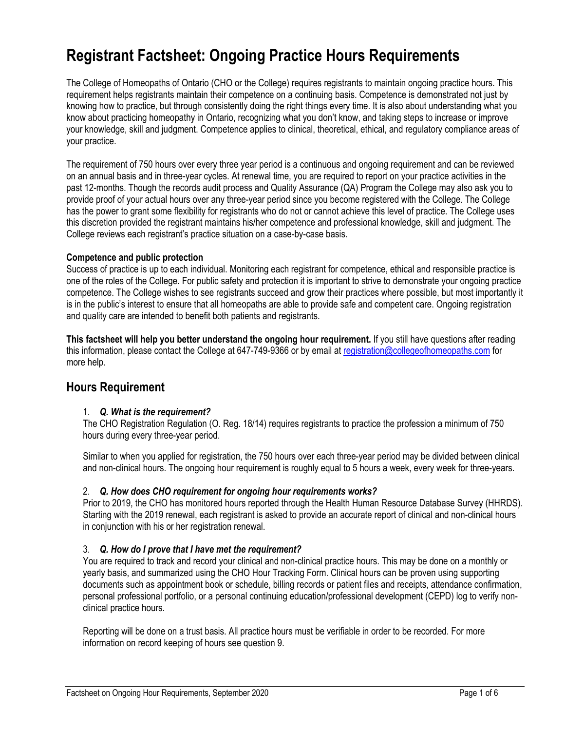# **Registrant Factsheet: Ongoing Practice Hours Requirements**

The College of Homeopaths of Ontario (CHO or the College) requires registrants to maintain ongoing practice hours. This requirement helps registrants maintain their competence on a continuing basis. Competence is demonstrated not just by knowing how to practice, but through consistently doing the right things every time. It is also about understanding what you know about practicing homeopathy in Ontario, recognizing what you don't know, and taking steps to increase or improve your knowledge, skill and judgment. Competence applies to clinical, theoretical, ethical, and regulatory compliance areas of your practice.

The requirement of 750 hours over every three year period is a continuous and ongoing requirement and can be reviewed on an annual basis and in three-year cycles. At renewal time, you are required to report on your practice activities in the past 12-months. Though the records audit process and Quality Assurance (QA) Program the College may also ask you to provide proof of your actual hours over any three-year period since you become registered with the College. The College has the power to grant some flexibility for registrants who do not or cannot achieve this level of practice. The College uses this discretion provided the registrant maintains his/her competence and professional knowledge, skill and judgment. The College reviews each registrant's practice situation on a case-by-case basis.

#### **Competence and public protection**

Success of practice is up to each individual. Monitoring each registrant for competence, ethical and responsible practice is one of the roles of the College. For public safety and protection it is important to strive to demonstrate your ongoing practice competence. The College wishes to see registrants succeed and grow their practices where possible, but most importantly it is in the public's interest to ensure that all homeopaths are able to provide safe and competent care. Ongoing registration and quality care are intended to benefit both patients and registrants.

**This factsheet will help you better understand the ongoing hour requirement.** If you still have questions after reading this information, please contact the College at 647-749-9366 or by email at registration@collegeofhomeopaths.com for more help.

# **Hours Requirement**

#### 1. *Q. What is the requirement?*

The CHO Registration Regulation (O. Reg. 18/14) requires registrants to practice the profession a minimum of 750 hours during every three-year period.

Similar to when you applied for registration, the 750 hours over each three-year period may be divided between clinical and non-clinical hours. The ongoing hour requirement is roughly equal to 5 hours a week, every week for three-years.

#### 2. *Q. How does CHO requirement for ongoing hour requirements works?*

Prior to 2019, the CHO has monitored hours reported through the Health Human Resource Database Survey (HHRDS). Starting with the 2019 renewal, each registrant is asked to provide an accurate report of clinical and non-clinical hours in conjunction with his or her registration renewal.

#### 3. *Q. How do I prove that I have met the requirement?*

You are required to track and record your clinical and non-clinical practice hours. This may be done on a monthly or yearly basis, and summarized using the CHO Hour Tracking Form. Clinical hours can be proven using supporting documents such as appointment book or schedule, billing records or patient files and receipts, attendance confirmation, personal professional portfolio, or a personal continuing education/professional development (CEPD) log to verify nonclinical practice hours.

Reporting will be done on a trust basis. All practice hours must be verifiable in order to be recorded. For more information on record keeping of hours see question 9.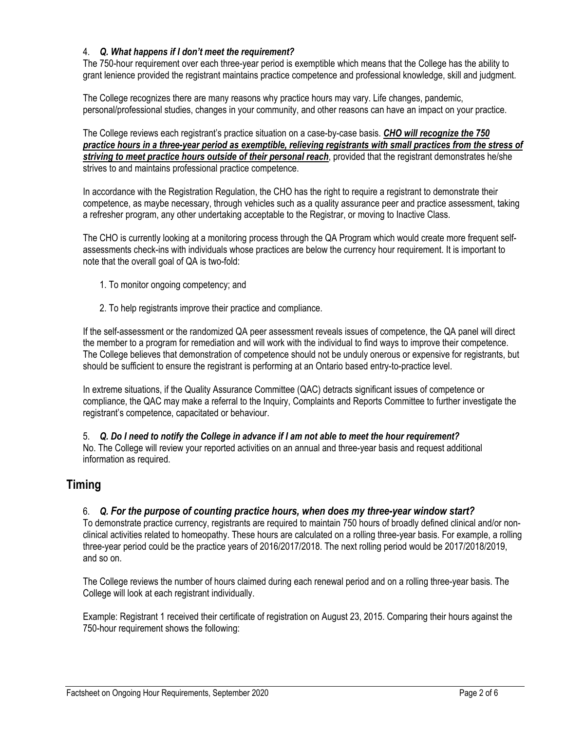#### 4. *Q. What happens if I don't meet the requirement?*

The 750-hour requirement over each three-year period is exemptible which means that the College has the ability to grant lenience provided the registrant maintains practice competence and professional knowledge, skill and judgment.

The College recognizes there are many reasons why practice hours may vary. Life changes, pandemic, personal/professional studies, changes in your community, and other reasons can have an impact on your practice.

The College reviews each registrant's practice situation on a case-by-case basis. *CHO will recognize the 750 practice hours in a three-year period as exemptible, relieving registrants with small practices from the stress of striving to meet practice hours outside of their personal reach*, provided that the registrant demonstrates he/she strives to and maintains professional practice competence.

In accordance with the Registration Regulation, the CHO has the right to require a registrant to demonstrate their competence, as maybe necessary, through vehicles such as a quality assurance peer and practice assessment, taking a refresher program, any other undertaking acceptable to the Registrar, or moving to Inactive Class.

The CHO is currently looking at a monitoring process through the QA Program which would create more frequent selfassessments check-ins with individuals whose practices are below the currency hour requirement. It is important to note that the overall goal of QA is two-fold:

- 1. To monitor ongoing competency; and
- 2. To help registrants improve their practice and compliance.

If the self-assessment or the randomized QA peer assessment reveals issues of competence, the QA panel will direct the member to a program for remediation and will work with the individual to find ways to improve their competence. The College believes that demonstration of competence should not be unduly onerous or expensive for registrants, but should be sufficient to ensure the registrant is performing at an Ontario based entry-to-practice level.

In extreme situations, if the Quality Assurance Committee (QAC) detracts significant issues of competence or compliance, the QAC may make a referral to the Inquiry, Complaints and Reports Committee to further investigate the registrant's competence, capacitated or behaviour.

5. *Q. Do I need to notify the College in advance if I am not able to meet the hour requirement?*  No. The College will review your reported activities on an annual and three-year basis and request additional information as required.

# **Timing**

#### 6. *Q. For the purpose of counting practice hours, when does my three-year window start?*

To demonstrate practice currency, registrants are required to maintain 750 hours of broadly defined clinical and/or nonclinical activities related to homeopathy. These hours are calculated on a rolling three-year basis. For example, a rolling three-year period could be the practice years of 2016/2017/2018. The next rolling period would be 2017/2018/2019, and so on.

The College reviews the number of hours claimed during each renewal period and on a rolling three-year basis. The College will look at each registrant individually.

Example: Registrant 1 received their certificate of registration on August 23, 2015. Comparing their hours against the 750-hour requirement shows the following: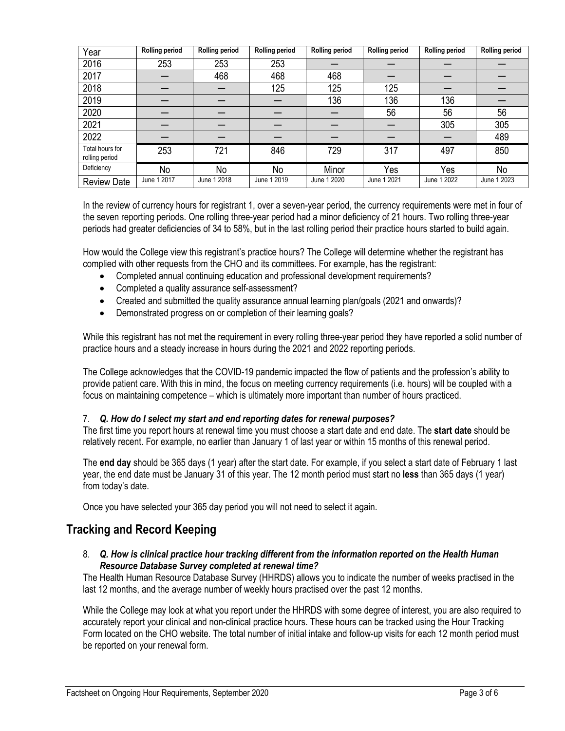| Year                              | <b>Rolling period</b> | <b>Rolling period</b> | <b>Rolling period</b> | <b>Rolling period</b> | <b>Rolling period</b> | <b>Rolling period</b> | <b>Rolling period</b> |
|-----------------------------------|-----------------------|-----------------------|-----------------------|-----------------------|-----------------------|-----------------------|-----------------------|
| 2016                              | 253                   | 253                   | 253                   |                       |                       |                       |                       |
| 2017                              |                       | 468                   | 468                   | 468                   |                       |                       |                       |
| 2018                              |                       |                       | 125                   | 125                   | 125                   |                       |                       |
| 2019                              |                       |                       |                       | 136                   | 136                   | 136                   |                       |
| 2020                              |                       |                       |                       |                       | 56                    | 56                    | 56                    |
| 2021                              |                       |                       |                       |                       |                       | 305                   | 305                   |
| 2022                              |                       |                       |                       |                       |                       |                       | 489                   |
| Total hours for<br>rolling period | 253                   | 721                   | 846                   | 729                   | 317                   | 497                   | 850                   |
| Deficiency                        | No                    | No                    | No                    | Minor                 | Yes                   | Yes                   | No                    |
| <b>Review Date</b>                | June 1 2017           | June 1 2018           | June 1 2019           | June 1 2020           | June 1 2021           | June 1 2022           | June 1 2023           |

In the review of currency hours for registrant 1, over a seven-year period, the currency requirements were met in four of the seven reporting periods. One rolling three-year period had a minor deficiency of 21 hours. Two rolling three-year periods had greater deficiencies of 34 to 58%, but in the last rolling period their practice hours started to build again.

How would the College view this registrant's practice hours? The College will determine whether the registrant has complied with other requests from the CHO and its committees. For example, has the registrant:

- Completed annual continuing education and professional development requirements?
- Completed a quality assurance self-assessment?
- Created and submitted the quality assurance annual learning plan/goals (2021 and onwards)?
- Demonstrated progress on or completion of their learning goals?

While this registrant has not met the requirement in every rolling three-year period they have reported a solid number of practice hours and a steady increase in hours during the 2021 and 2022 reporting periods.

The College acknowledges that the COVID-19 pandemic impacted the flow of patients and the profession's ability to provide patient care. With this in mind, the focus on meeting currency requirements (i.e. hours) will be coupled with a focus on maintaining competence – which is ultimately more important than number of hours practiced.

#### 7. *Q. How do I select my start and end reporting dates for renewal purposes?*

The first time you report hours at renewal time you must choose a start date and end date. The **start date** should be relatively recent. For example, no earlier than January 1 of last year or within 15 months of this renewal period.

The **end day** should be 365 days (1 year) after the start date. For example, if you select a start date of February 1 last year, the end date must be January 31 of this year. The 12 month period must start no **less** than 365 days (1 year) from today's date.

Once you have selected your 365 day period you will not need to select it again.

# **Tracking and Record Keeping**

#### 8. *Q. How is clinical practice hour tracking different from the information reported on the Health Human Resource Database Survey completed at renewal time?*

The Health Human Resource Database Survey (HHRDS) allows you to indicate the number of weeks practised in the last 12 months, and the average number of weekly hours practised over the past 12 months.

While the College may look at what you report under the HHRDS with some degree of interest, you are also required to accurately report your clinical and non-clinical practice hours. These hours can be tracked using the Hour Tracking Form located on the CHO website. The total number of initial intake and follow-up visits for each 12 month period must be reported on your renewal form.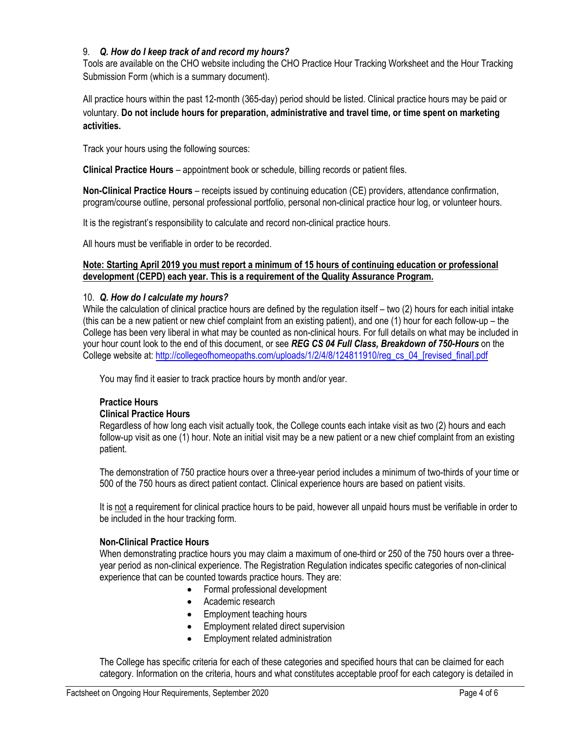#### 9. *Q. How do I keep track of and record my hours?*

Tools are available on the CHO website including the CHO Practice Hour Tracking Worksheet and the Hour Tracking Submission Form (which is a summary document).

All practice hours within the past 12-month (365-day) period should be listed. Clinical practice hours may be paid or voluntary. **Do not include hours for preparation, administrative and travel time, or time spent on marketing activities.**

Track your hours using the following sources:

**Clinical Practice Hours** – appointment book or schedule, billing records or patient files.

**Non-Clinical Practice Hours** – receipts issued by continuing education (CE) providers, attendance confirmation, program/course outline, personal professional portfolio, personal non-clinical practice hour log, or volunteer hours.

It is the registrant's responsibility to calculate and record non-clinical practice hours.

All hours must be verifiable in order to be recorded.

#### **Note: Starting April 2019 you must report a minimum of 15 hours of continuing education or professional development (CEPD) each year. This is a requirement of the Quality Assurance Program.**

#### 10. *Q. How do I calculate my hours?*

While the calculation of clinical practice hours are defined by the regulation itself – two (2) hours for each initial intake (this can be a new patient or new chief complaint from an existing patient), and one (1) hour for each follow-up – the College has been very liberal in what may be counted as non-clinical hours. For full details on what may be included in your hour count look to the end of this document, or see *REG CS 04 Full Class, Breakdown of 750-Hours* on the College website at: http://collegeofhomeopaths.com/uploads/1/2/4/8/124811910/reg\_cs\_04\_[revised\_final].pdf

You may find it easier to track practice hours by month and/or year.

#### **Practice Hours**

#### **Clinical Practice Hours**

Regardless of how long each visit actually took, the College counts each intake visit as two (2) hours and each follow-up visit as one (1) hour. Note an initial visit may be a new patient or a new chief complaint from an existing patient.

The demonstration of 750 practice hours over a three-year period includes a minimum of two-thirds of your time or 500 of the 750 hours as direct patient contact. Clinical experience hours are based on patient visits.

It is not a requirement for clinical practice hours to be paid, however all unpaid hours must be verifiable in order to be included in the hour tracking form.

#### **Non-Clinical Practice Hours**

When demonstrating practice hours you may claim a maximum of one-third or 250 of the 750 hours over a threeyear period as non-clinical experience. The Registration Regulation indicates specific categories of non-clinical experience that can be counted towards practice hours. They are:

- Formal professional development
- Academic research
- Employment teaching hours
- Employment related direct supervision
- Employment related administration

The College has specific criteria for each of these categories and specified hours that can be claimed for each category. Information on the criteria, hours and what constitutes acceptable proof for each category is detailed in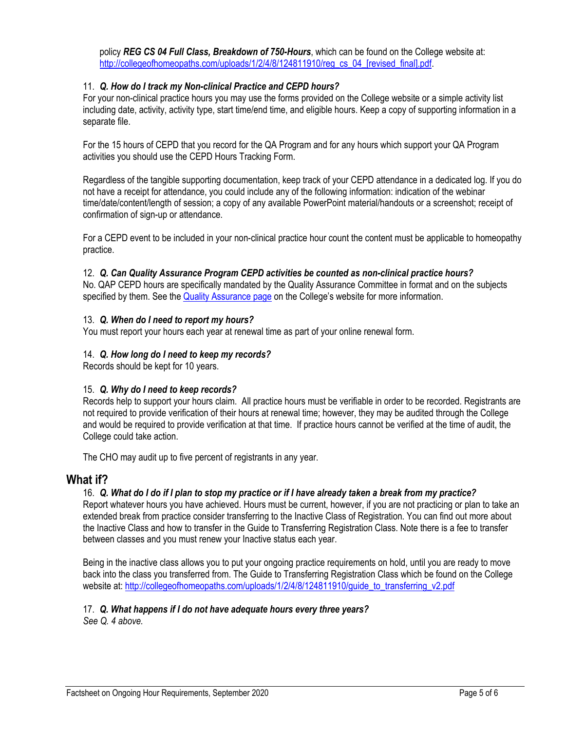policy *REG CS 04 Full Class, Breakdown of 750-Hours*, which can be found on the College website at: http://collegeofhomeopaths.com/uploads/1/2/4/8/124811910/reg\_cs\_04\_[revised\_final].pdf.

#### 11. *Q. How do I track my Non-clinical Practice and CEPD hours?*

For your non-clinical practice hours you may use the forms provided on the College website or a simple activity list including date, activity, activity type, start time/end time, and eligible hours. Keep a copy of supporting information in a separate file.

For the 15 hours of CEPD that you record for the QA Program and for any hours which support your QA Program activities you should use the CEPD Hours Tracking Form.

Regardless of the tangible supporting documentation, keep track of your CEPD attendance in a dedicated log. If you do not have a receipt for attendance, you could include any of the following information: indication of the webinar time/date/content/length of session; a copy of any available PowerPoint material/handouts or a screenshot; receipt of confirmation of sign-up or attendance.

For a CEPD event to be included in your non-clinical practice hour count the content must be applicable to homeopathy practice.

#### 12. *Q. Can Quality Assurance Program CEPD activities be counted as non-clinical practice hours?*

No. QAP CEPD hours are specifically mandated by the Quality Assurance Committee in format and on the subjects specified by them. See the Quality Assurance page on the College's website for more information.

#### 13. *Q. When do I need to report my hours?*

You must report your hours each year at renewal time as part of your online renewal form.

#### 14. *Q. How long do I need to keep my records?*

Records should be kept for 10 years.

#### 15. *Q. Why do I need to keep records?*

Records help to support your hours claim. All practice hours must be verifiable in order to be recorded. Registrants are not required to provide verification of their hours at renewal time; however, they may be audited through the College and would be required to provide verification at that time. If practice hours cannot be verified at the time of audit, the College could take action.

The CHO may audit up to five percent of registrants in any year.

#### **What if?**

#### 16. *Q. What do I do if I plan to stop my practice or if I have already taken a break from my practice?*

Report whatever hours you have achieved. Hours must be current, however, if you are not practicing or plan to take an extended break from practice consider transferring to the Inactive Class of Registration. You can find out more about the Inactive Class and how to transfer in the Guide to Transferring Registration Class. Note there is a fee to transfer between classes and you must renew your Inactive status each year.

Being in the inactive class allows you to put your ongoing practice requirements on hold, until you are ready to move back into the class you transferred from. The Guide to Transferring Registration Class which be found on the College website at: http://collegeofhomeopaths.com/uploads/1/2/4/8/124811910/quide\_to\_transferring\_v2.pdf

#### 17. *Q. What happens if I do not have adequate hours every three years?*

*See Q. 4 above.*